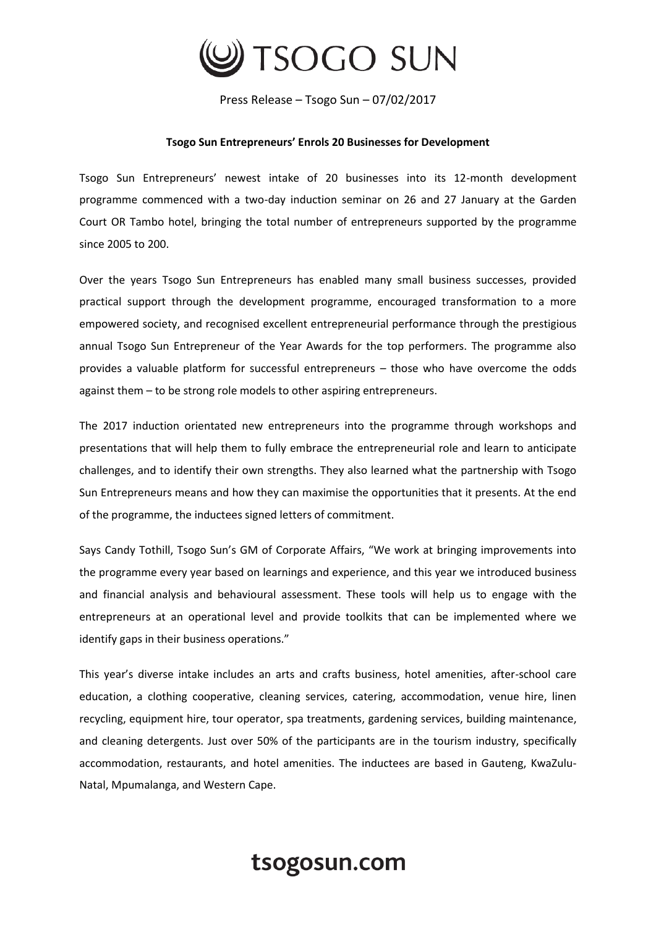

Press Release – Tsogo Sun – 07/02/2017

## **Tsogo Sun Entrepreneurs' Enrols 20 Businesses for Development**

Tsogo Sun Entrepreneurs' newest intake of 20 businesses into its 12-month development programme commenced with a two-day induction seminar on 26 and 27 January at the Garden Court OR Tambo hotel, bringing the total number of entrepreneurs supported by the programme since 2005 to 200.

Over the years Tsogo Sun Entrepreneurs has enabled many small business successes, provided practical support through the development programme, encouraged transformation to a more empowered society, and recognised excellent entrepreneurial performance through the prestigious annual Tsogo Sun Entrepreneur of the Year Awards for the top performers. The programme also provides a valuable platform for successful entrepreneurs – those who have overcome the odds against them – to be strong role models to other aspiring entrepreneurs.

The 2017 induction orientated new entrepreneurs into the programme through workshops and presentations that will help them to fully embrace the entrepreneurial role and learn to anticipate challenges, and to identify their own strengths. They also learned what the partnership with Tsogo Sun Entrepreneurs means and how they can maximise the opportunities that it presents. At the end of the programme, the inductees signed letters of commitment.

Says Candy Tothill, Tsogo Sun's GM of Corporate Affairs, "We work at bringing improvements into the programme every year based on learnings and experience, and this year we introduced business and financial analysis and behavioural assessment. These tools will help us to engage with the entrepreneurs at an operational level and provide toolkits that can be implemented where we identify gaps in their business operations."

This year's diverse intake includes an arts and crafts business, hotel amenities, after-school care education, a clothing cooperative, cleaning services, catering, accommodation, venue hire, linen recycling, equipment hire, tour operator, spa treatments, gardening services, building maintenance, and cleaning detergents. Just over 50% of the participants are in the tourism industry, specifically accommodation, restaurants, and hotel amenities. The inductees are based in Gauteng, KwaZulu-Natal, Mpumalanga, and Western Cape.

## tsogosun.com